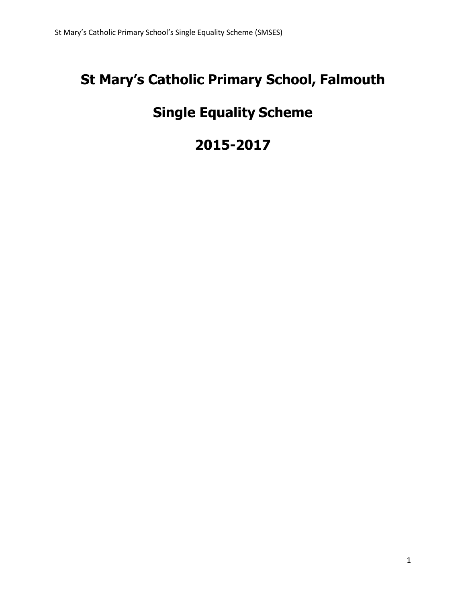# **St Mary's Catholic Primary School, Falmouth**

# **Single Equality Scheme**

# **2015-2017**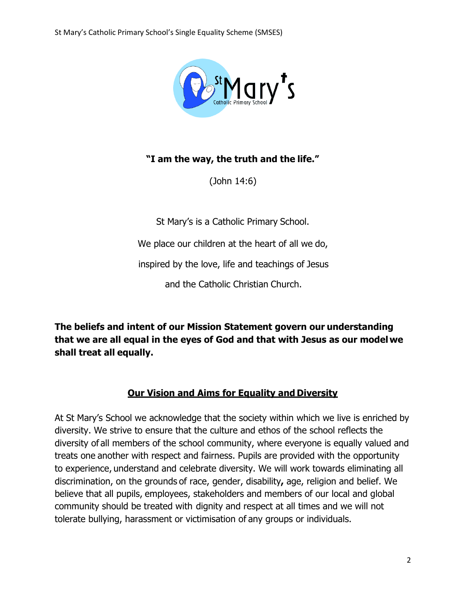

# **"I am the way, the truth and the life."**

(John 14:6)

St Mary's is a Catholic Primary School.

We place our children at the heart of all we do,

inspired by the love, life and teachings of Jesus

and the Catholic Christian Church.

**The beliefs and intent of our Mission Statement govern our understanding that we are all equal in the eyes of God and that with Jesus as our model we shall treat all equally.**

# **Our Vision and Aims for Equality and Diversity**

At St Mary's School we acknowledge that the society within which we live is enriched by diversity. We strive to ensure that the culture and ethos of the school reflects the diversity of all members of the school community, where everyone is equally valued and treats one another with respect and fairness. Pupils are provided with the opportunity to experience, understand and celebrate diversity. We will work towards eliminating all discrimination, on the grounds of race, gender, disability**,** age, religion and belief. We believe that all pupils, employees, stakeholders and members of our local and global community should be treated with dignity and respect at all times and we will not tolerate bullying, harassment or victimisation of any groups or individuals.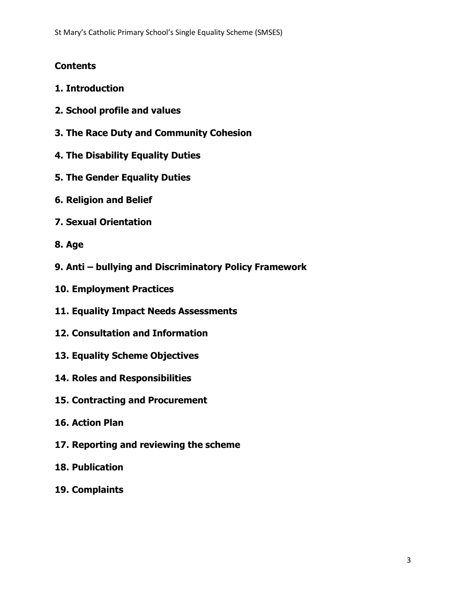# **Contents**

- **1. Introduction**
- **2. School profile and values**
- **3. The Race Duty and Community Cohesion**
- **4. The Disability Equality Duties**
- **5. The Gender Equality Duties**
- **6. Religion and Belief**
- **7. Sexual Orientation**
- **8. Age**
- **9. Anti – bullying and Discriminatory Policy Framework**
- **10. Employment Practices**
- **11. Equality Impact Needs Assessments**
- **12. Consultation and Information**
- **13. Equality Scheme Objectives**
- **14. Roles and Responsibilities**
- **15. Contracting and Procurement**
- **16. Action Plan**
- **17. Reporting and reviewing the scheme**
- **18. Publication**
- **19. Complaints**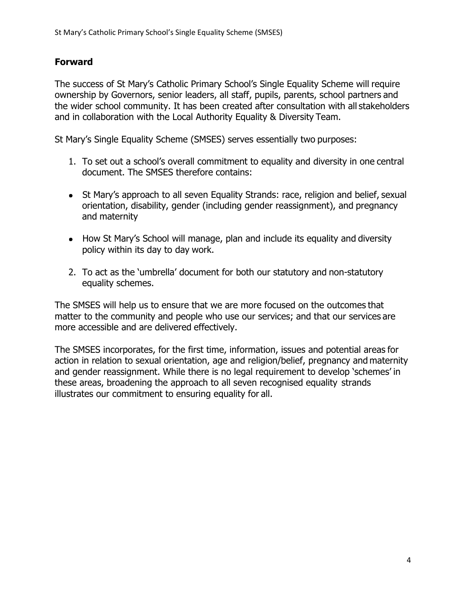# **Forward**

The success of St Mary's Catholic Primary School's Single Equality Scheme will require ownership by Governors, senior leaders, all staff, pupils, parents, school partners and the wider school community. It has been created after consultation with all stakeholders and in collaboration with the Local Authority Equality & Diversity Team.

St Mary's Single Equality Scheme (SMSES) serves essentially two purposes:

- 1. To set out a school's overall commitment to equality and diversity in one central document. The SMSES therefore contains:
- St Mary's approach to all seven Equality Strands: race, religion and belief, sexual orientation, disability, gender (including gender reassignment), and pregnancy and maternity
- How St Mary's School will manage, plan and include its equality and diversity policy within its day to day work.
- 2. To act as the 'umbrella' document for both our statutory and non-statutory equality schemes.

The SMSES will help us to ensure that we are more focused on the outcomes that matter to the community and people who use our services; and that our services are more accessible and are delivered effectively.

The SMSES incorporates, for the first time, information, issues and potential areas for action in relation to sexual orientation, age and religion/belief, pregnancy and maternity and gender reassignment. While there is no legal requirement to develop 'schemes' in these areas, broadening the approach to all seven recognised equality strands illustrates our commitment to ensuring equality for all.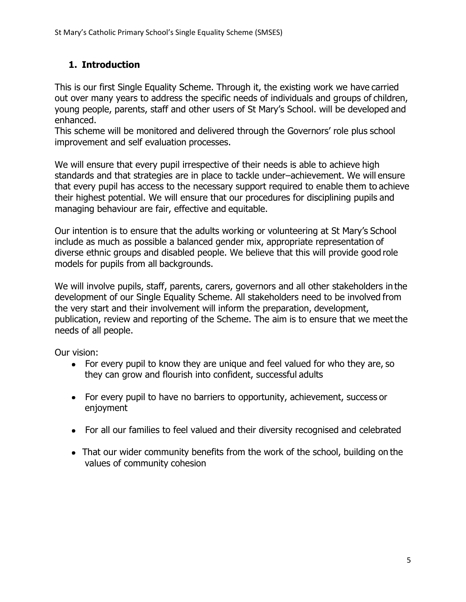# **1. Introduction**

This is our first Single Equality Scheme. Through it, the existing work we have carried out over many years to address the specific needs of individuals and groups of children, young people, parents, staff and other users of St Mary's School. will be developed and enhanced.

This scheme will be monitored and delivered through the Governors' role plus school improvement and self evaluation processes.

We will ensure that every pupil irrespective of their needs is able to achieve high standards and that strategies are in place to tackle under–achievement. We will ensure that every pupil has access to the necessary support required to enable them to achieve their highest potential. We will ensure that our procedures for disciplining pupils and managing behaviour are fair, effective and equitable.

Our intention is to ensure that the adults working or volunteering at St Mary's School include as much as possible a balanced gender mix, appropriate representation of diverse ethnic groups and disabled people. We believe that this will provide good role models for pupils from all backgrounds.

We will involve pupils, staff, parents, carers, governors and all other stakeholders in the development of our Single Equality Scheme. All stakeholders need to be involved from the very start and their involvement will inform the preparation, development, publication, review and reporting of the Scheme. The aim is to ensure that we meet the needs of all people.

Our vision:

- For every pupil to know they are unique and feel valued for who they are, so they can grow and flourish into confident, successful adults
- For every pupil to have no barriers to opportunity, achievement, success or enjoyment
- For all our families to feel valued and their diversity recognised and celebrated
- That our wider community benefits from the work of the school, building on the values of community cohesion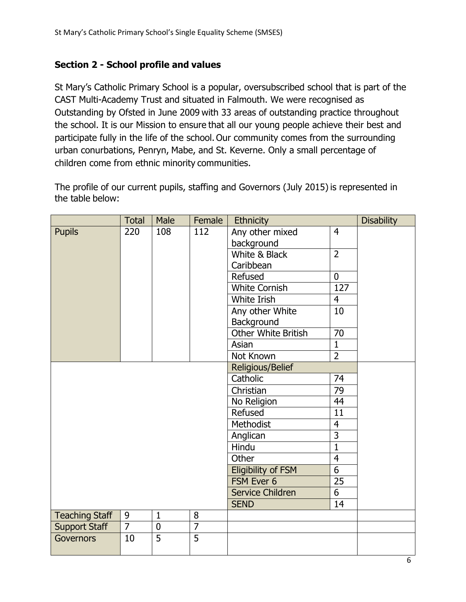# **Section 2 - School profile and values**

St Mary's Catholic Primary School is a popular, oversubscribed school that is part of the CAST Multi-Academy Trust and situated in Falmouth. We were recognised as Outstanding by Ofsted in June 2009 with 33 areas of outstanding practice throughout the school. It is our Mission to ensure that all our young people achieve their best and participate fully in the life of the school. Our community comes from the surrounding urban conurbations, Penryn, Mabe, and St. Keverne. Only a small percentage of children come from ethnic minority communities.

The profile of our current pupils, staffing and Governors (July 2015) is represented in the table below:

|                             | <b>Total</b>   | Male             | Female         | Ethnicity                 |                 | <b>Disability</b> |
|-----------------------------|----------------|------------------|----------------|---------------------------|-----------------|-------------------|
| <b>Pupils</b>               | 220            | 108              | 112            | Any other mixed           | $\overline{4}$  |                   |
|                             |                |                  |                | background                |                 |                   |
|                             |                |                  |                | White & Black             | $\overline{2}$  |                   |
|                             |                |                  |                | Caribbean                 |                 |                   |
|                             |                |                  |                | Refused                   | $\mathbf 0$     |                   |
|                             |                |                  |                | <b>White Cornish</b>      | 127             |                   |
|                             |                |                  |                | White Irish               | $\overline{4}$  |                   |
|                             |                |                  |                | Any other White           | 10              |                   |
|                             |                |                  |                | Background                |                 |                   |
|                             |                |                  |                | Other White British       | $\overline{70}$ |                   |
|                             |                |                  |                | Asian                     | $\mathbf{1}$    |                   |
|                             |                |                  |                | Not Known                 | $\overline{2}$  |                   |
| Religious/Belief            |                |                  |                |                           |                 |                   |
| 74<br>Catholic              |                |                  |                |                           |                 |                   |
|                             |                |                  |                | Christian                 | 79              |                   |
| 44<br>No Religion           |                |                  |                |                           |                 |                   |
| Refused<br>11               |                |                  |                |                           |                 |                   |
| Methodist<br>$\overline{4}$ |                |                  |                |                           |                 |                   |
| $\overline{3}$<br>Anglican  |                |                  |                |                           |                 |                   |
|                             |                |                  |                | Hindu                     | $\overline{1}$  |                   |
|                             |                |                  |                | Other                     | $\overline{4}$  |                   |
|                             |                |                  |                | <b>Eligibility of FSM</b> | $\overline{6}$  |                   |
|                             |                |                  |                | FSM Ever 6                | 25              |                   |
|                             |                |                  |                | Service Children          | $\overline{6}$  |                   |
|                             |                |                  |                | <b>SEND</b>               | 14              |                   |
| <b>Teaching Staff</b>       | 9              | $\mathbf 1$      | 8              |                           |                 |                   |
| <b>Support Staff</b>        | $\overline{7}$ | $\boldsymbol{0}$ | $\overline{7}$ |                           |                 |                   |
| Governors                   | 10             | $\overline{5}$   | $\overline{5}$ |                           |                 |                   |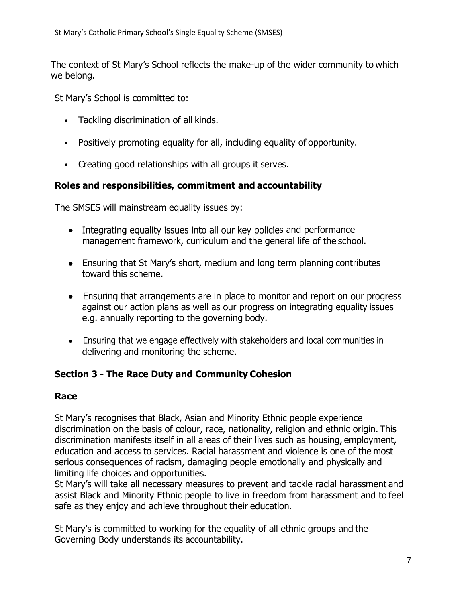The context of St Mary's School reflects the make-up of the wider community to which we belong.

St Mary's School is committed to:

- Tackling discrimination of all kinds.
- Positively promoting equality for all, including equality of opportunity.
- Creating good relationships with all groups it serves.

# **Roles and responsibilities, commitment and accountability**

The SMSES will mainstream equality issues by:

- Integrating equality issues into all our key policies and performance management framework, curriculum and the general life of the school.
- Ensuring that St Mary's short, medium and long term planning contributes toward this scheme.
- Ensuring that arrangements are in place to monitor and report on our progress against our action plans as well as our progress on integrating equality issues e.g. annually reporting to the governing body.
- Ensuring that we engage effectively with stakeholders and local communities in delivering and monitoring the scheme.

## **Section 3 - The Race Duty and Community Cohesion**

#### **Race**

St Mary's recognises that Black, Asian and Minority Ethnic people experience discrimination on the basis of colour, race, nationality, religion and ethnic origin. This discrimination manifests itself in all areas of their lives such as housing, employment, education and access to services. Racial harassment and violence is one of the most serious consequences of racism, damaging people emotionally and physically and limiting life choices and opportunities.

St Mary's will take all necessary measures to prevent and tackle racial harassment and assist Black and Minority Ethnic people to live in freedom from harassment and to feel safe as they enjoy and achieve throughout their education.

St Mary's is committed to working for the equality of all ethnic groups and the Governing Body understands its accountability.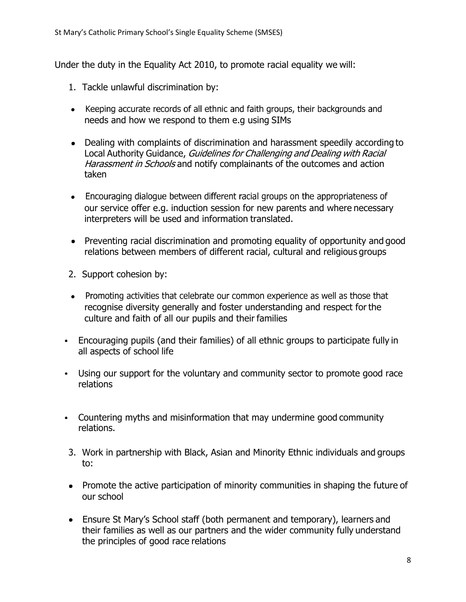Under the duty in the Equality Act 2010, to promote racial equality we will:

- 1. Tackle unlawful discrimination by:
- Keeping accurate records of all ethnic and faith groups, their backgrounds and needs and how we respond to them e.g using SIMs
- Dealing with complaints of discrimination and harassment speedily according to Local Authority Guidance, Guidelines for Challenging and Dealing with Racial Harassment in Schools and notify complainants of the outcomes and action taken
- Encouraging dialogue between different racial groups on the appropriateness of our service offer e.g. induction session for new parents and where necessary interpreters will be used and information translated.
- Preventing racial discrimination and promoting equality of opportunity and good relations between members of different racial, cultural and religious groups
- 2. Support cohesion by:
- Promoting activities that celebrate our common experience as well as those that recognise diversity generally and foster understanding and respect for the culture and faith of all our pupils and their families
- Encouraging pupils (and their families) of all ethnic groups to participate fully in all aspects of school life
- Using our support for the voluntary and community sector to promote good race relations
- Countering myths and misinformation that may undermine good community relations.
- 3. Work in partnership with Black, Asian and Minority Ethnic individuals and groups to:
- Promote the active participation of minority communities in shaping the future of our school
- Ensure St Mary's School staff (both permanent and temporary), learners and their families as well as our partners and the wider community fully understand the principles of good race relations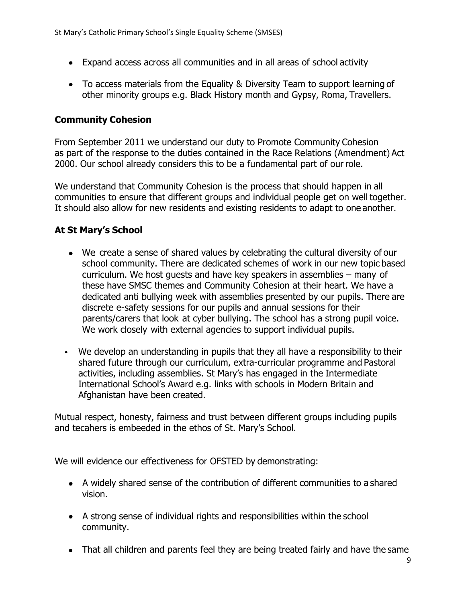- Expand access across all communities and in all areas of school activity
- To access materials from the Equality & Diversity Team to support learning of other minority groups e.g. Black History month and Gypsy, Roma, Travellers.

#### **Community Cohesion**

From September 2011 we understand our duty to Promote Community Cohesion as part of the response to the duties contained in the Race Relations (Amendment) Act 2000. Our school already considers this to be a fundamental part of ourrole.

We understand that Community Cohesion is the process that should happen in all communities to ensure that different groups and individual people get on well together. It should also allow for new residents and existing residents to adapt to one another.

#### **At St Mary's School**

- $\bullet$  We create a sense of shared values by celebrating the cultural diversity of our school community. There are dedicated schemes of work in our new topic based curriculum. We host guests and have key speakers in assemblies – many of these have SMSC themes and Community Cohesion at their heart. We have a dedicated anti bullying week with assemblies presented by our pupils. There are discrete e-safety sessions for our pupils and annual sessions for their parents/carers that look at cyber bullying. The school has a strong pupil voice. We work closely with external agencies to support individual pupils.
- We develop an understanding in pupils that they all have a responsibility to their shared future through our curriculum, extra-curricular programme and Pastoral activities, including assemblies. St Mary's has engaged in the Intermediate International School's Award e.g. links with schools in Modern Britain and Afghanistan have been created.

Mutual respect, honesty, fairness and trust between different groups including pupils and tecahers is embeeded in the ethos of St. Mary's School.

We will evidence our effectiveness for OFSTED by demonstrating:

- A widely shared sense of the contribution of different communities to a shared vision.
- A strong sense of individual rights and responsibilities within the school community.
- That all children and parents feel they are being treated fairly and have the same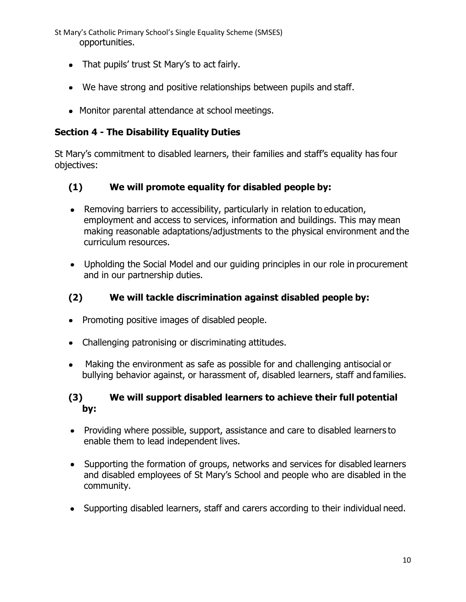St Mary's Catholic Primary School's Single Equality Scheme (SMSES) opportunities.

- That pupils' trust St Mary's to act fairly.
- We have strong and positive relationships between pupils and staff.
- Monitor parental attendance at school meetings.

# **Section 4 - The Disability Equality Duties**

St Mary's commitment to disabled learners, their families and staff's equality has four objectives:

# **(1) We will promote equality for disabled people by:**

- Removing barriers to accessibility, particularly in relation to education, employment and access to services, information and buildings. This may mean making reasonable adaptations/adjustments to the physical environment and the curriculum resources.
- Upholding the Social Model and our guiding principles in our role in procurement and in our partnership duties.

# **(2) We will tackle discrimination against disabled people by:**

- Promoting positive images of disabled people.
- Challenging patronising or discriminating attitudes.
- Making the environment as safe as possible for and challenging antisocial or bullying behavior against, or harassment of, disabled learners, staff and families.

## **(3) We will support disabled learners to achieve their full potential by:**

- Providing where possible, support, assistance and care to disabled learners to enable them to lead independent lives.
- Supporting the formation of groups, networks and services for disabled learners and disabled employees of St Mary's School and people who are disabled in the community.
- Supporting disabled learners, staff and carers according to their individual need.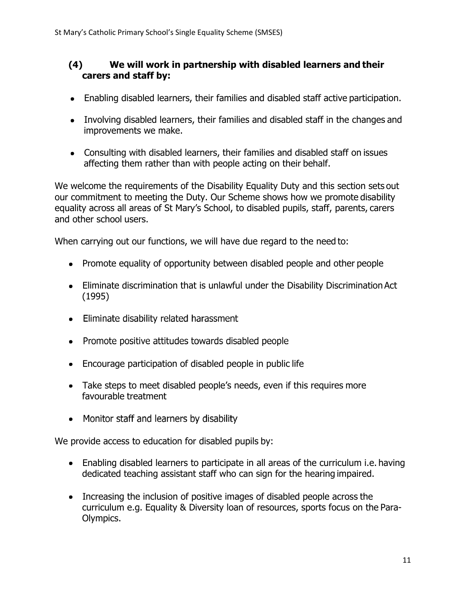#### **(4) We will work in partnership with disabled learners and their carers and staff by:**

- Enabling disabled learners, their families and disabled staff active participation.
- Involving disabled learners, their families and disabled staff in the changes and improvements we make.
- Consulting with disabled learners, their families and disabled staff on issues affecting them rather than with people acting on their behalf.

We welcome the requirements of the Disability Equality Duty and this section sets out our commitment to meeting the Duty. Our Scheme shows how we promote disability equality across all areas of St Mary's School, to disabled pupils, staff, parents, carers and other school users.

When carrying out our functions, we will have due regard to the need to:

- Promote equality of opportunity between disabled people and other people
- Eliminate discrimination that is unlawful under the Disability Discrimination Act (1995)
- Eliminate disability related harassment
- Promote positive attitudes towards disabled people
- Encourage participation of disabled people in public life
- Take steps to meet disabled people's needs, even if this requires more favourable treatment
- Monitor staff and learners by disability

We provide access to education for disabled pupils by:

- Enabling disabled learners to participate in all areas of the curriculum i.e. having dedicated teaching assistant staff who can sign for the hearing impaired.
- Increasing the inclusion of positive images of disabled people across the curriculum e.g. Equality & Diversity loan of resources, sports focus on the Para-Olympics.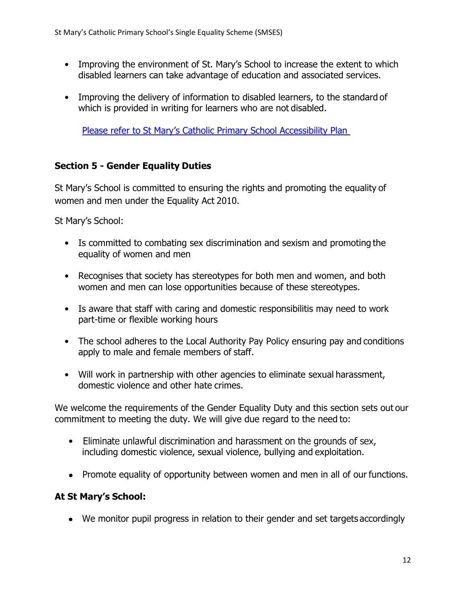- Improving the environment of St. Mary's School to increase the extent to which disabled learners can take advantage of education and associated services.
- Improving the delivery of information to disabled learners, to the standard of which is provided in writing for learners who are not disabled.

Please refer to St Mary's Catholic Primary School Accessibility Plan

## **Section 5 - Gender Equality Duties**

St Mary's School is committed to ensuring the rights and promoting the equality of women and men under the Equality Act 2010.

St Mary's School:

- Is committed to combating sex discrimination and sexism and promoting the equality of women and men
- Recognises that society has stereotypes for both men and women, and both women and men can lose opportunities because of these stereotypes.
- Is aware that staff with caring and domestic responsibilitis may need to work part-time or flexible working hours
- The school adheres to the Local Authority Pay Policy ensuring pay and conditions apply to male and female members of staff.
- Will work in partnership with other agencies to eliminate sexual harassment, domestic violence and other hate crimes.

We welcome the requirements of the Gender Equality Duty and this section sets out our commitment to meeting the duty. We will give due regard to the need to:

- Eliminate unlawful discrimination and harassment on the grounds of sex, including domestic violence, sexual violence, bullying and exploitation.
- Promote equality of opportunity between women and men in all of our functions.

## **At St Mary's School:**

We monitor pupil progress in relation to their gender and set targets accordingly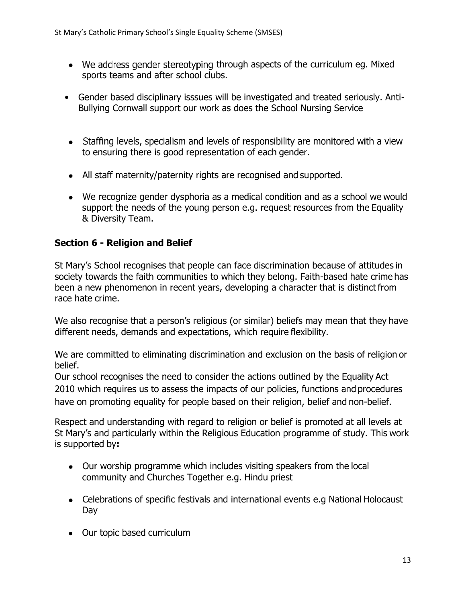- $\bullet$  We address gender stereotyping through aspects of the curriculum eg. Mixed sports teams and after school clubs.
- Gender based disciplinary isssues will be investigated and treated seriously. Anti-Bullying Cornwall support our work as does the School Nursing Service
- Staffing levels, specialism and levels of responsibility are monitored with a view to ensuring there is good representation of each gender.
- All staff maternity/paternity rights are recognised and supported.
- We recognize gender dysphoria as a medical condition and as a school we would support the needs of the young person e.g. request resources from the Equality & Diversity Team.

## **Section 6 - Religion and Belief**

St Mary's School recognises that people can face discrimination because of attitudes in society towards the faith communities to which they belong. Faith-based hate crime has been a new phenomenon in recent years, developing a character that is distinct from race hate crime.

We also recognise that a person's religious (or similar) beliefs may mean that they have different needs, demands and expectations, which require flexibility.

We are committed to eliminating discrimination and exclusion on the basis of religion or belief.

Our school recognises the need to consider the actions outlined by the Equality Act 2010 which requires us to assess the impacts of our policies, functions and procedures have on promoting equality for people based on their religion, belief and non-belief.

Respect and understanding with regard to religion or belief is promoted at all levels at St Mary's and particularly within the Religious Education programme of study. This work is supported by**:**

- Our worship programme which includes visiting speakers from the local community and Churches Together e.g. Hindu priest
- Celebrations of specific festivals and international events e.g National Holocaust Day
- Our topic based curriculum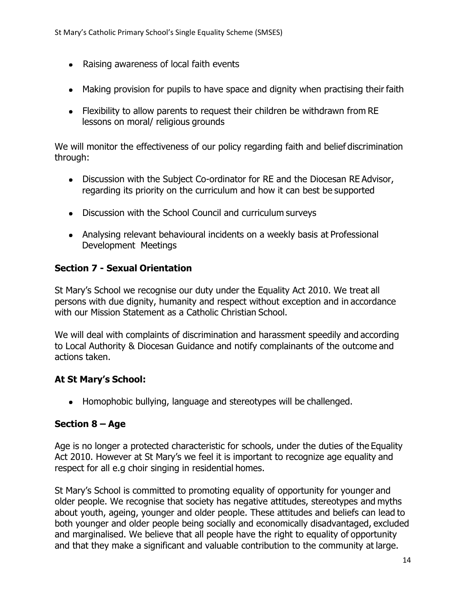- Raising awareness of local faith events
- Making provision for pupils to have space and dignity when practising their faith
- Flexibility to allow parents to request their children be withdrawn from RE lessons on moral/ religious grounds

We will monitor the effectiveness of our policy regarding faith and belief discrimination through:

- Discussion with the Subject Co-ordinator for RE and the Diocesan RE Advisor, regarding its priority on the curriculum and how it can best be supported
- Discussion with the School Council and curriculum surveys
- Analysing relevant behavioural incidents on a weekly basis at Professional Development Meetings

#### **Section 7 - Sexual Orientation**

St Mary's School we recognise our duty under the Equality Act 2010. We treat all persons with due dignity, humanity and respect without exception and in accordance with our Mission Statement as a Catholic Christian School.

We will deal with complaints of discrimination and harassment speedily and according to Local Authority & Diocesan Guidance and notify complainants of the outcome and actions taken.

#### **At St Mary's School:**

• Homophobic bullying, language and stereotypes will be challenged.

#### **Section 8 – Age**

Age is no longer a protected characteristic for schools, under the duties of the Equality Act 2010. However at St Mary's we feel it is important to recognize age equality and respect for all e.g choir singing in residential homes.

St Mary's School is committed to promoting equality of opportunity for younger and older people. We recognise that society has negative attitudes, stereotypes and myths about youth, ageing, younger and older people. These attitudes and beliefs can lead to both younger and older people being socially and economically disadvantaged, excluded and marginalised. We believe that all people have the right to equality of opportunity and that they make a significant and valuable contribution to the community at large.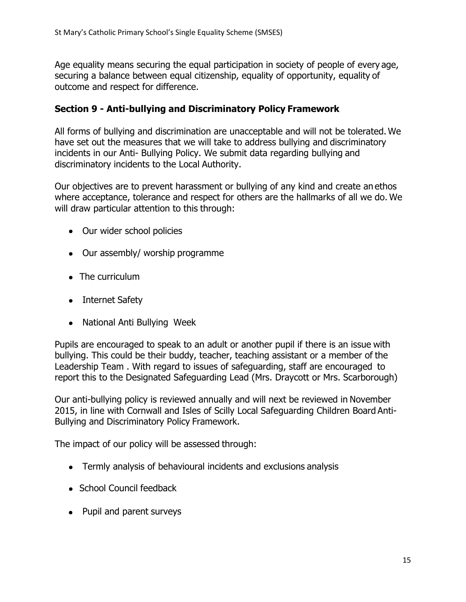Age equality means securing the equal participation in society of people of every age, securing a balance between equal citizenship, equality of opportunity, equality of outcome and respect for difference.

#### **Section 9 - Anti-bullying and Discriminatory Policy Framework**

All forms of bullying and discrimination are unacceptable and will not be tolerated. We have set out the measures that we will take to address bullying and discriminatory incidents in our Anti- Bullying Policy. We submit data regarding bullying and discriminatory incidents to the Local Authority.

Our objectives are to prevent harassment or bullying of any kind and create an ethos where acceptance, tolerance and respect for others are the hallmarks of all we do. We will draw particular attention to this through:

- Our wider school policies
- Our assembly/ worship programme
- The curriculum
- Internet Safety
- National Anti Bullying Week

Pupils are encouraged to speak to an adult or another pupil if there is an issue with bullying. This could be their buddy, teacher, teaching assistant or a member of the Leadership Team . With regard to issues of safeguarding, staff are encouraged to report this to the Designated Safeguarding Lead (Mrs. Draycott or Mrs. Scarborough)

Our anti-bullying policy is reviewed annually and will next be reviewed in November 2015, in line with Cornwall and Isles of Scilly Local Safeguarding Children Board Anti-Bullying and Discriminatory Policy Framework.

The impact of our policy will be assessed through:

- Termly analysis of behavioural incidents and exclusions analysis
- School Council feedback
- Pupil and parent surveys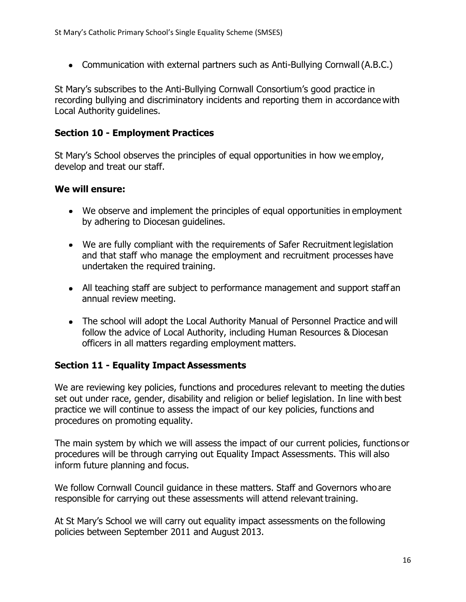• Communication with external partners such as Anti-Bullying Cornwall (A.B.C.)

St Mary's subscribes to the Anti-Bullying Cornwall Consortium's good practice in recording bullying and discriminatory incidents and reporting them in accordance with Local Authority guidelines.

#### **Section 10 - Employment Practices**

St Mary's School observes the principles of equal opportunities in how we employ, develop and treat our staff.

#### **We will ensure:**

- We observe and implement the principles of equal opportunities in employment by adhering to Diocesan guidelines.
- We are fully compliant with the requirements of Safer Recruitment legislation and that staff who manage the employment and recruitment processes have undertaken the required training.
- All teaching staff are subject to performance management and support staff an annual review meeting.
- The school will adopt the Local Authority Manual of Personnel Practice and will follow the advice of Local Authority, including Human Resources & Diocesan officers in all matters regarding employment matters.

## **Section 11 - Equality Impact Assessments**

We are reviewing key policies, functions and procedures relevant to meeting the duties set out under race, gender, disability and religion or belief legislation. In line with best practice we will continue to assess the impact of our key policies, functions and procedures on promoting equality.

The main system by which we will assess the impact of our current policies, functions or procedures will be through carrying out Equality Impact Assessments. This will also inform future planning and focus.

We follow Cornwall Council guidance in these matters. Staff and Governors who are responsible for carrying out these assessments will attend relevant training.

At St Mary's School we will carry out equality impact assessments on the following policies between September 2011 and August 2013.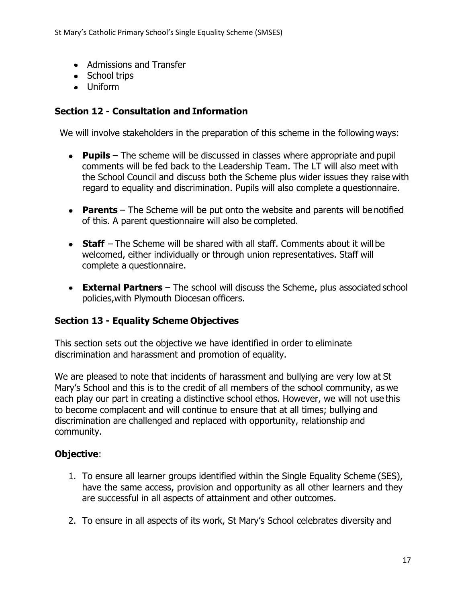- Admissions and Transfer
- School trips
- Uniform

## **Section 12 - Consultation and Information**

We will involve stakeholders in the preparation of this scheme in the following ways:

- **Pupils**  The scheme will be discussed in classes where appropriate and pupil comments will be fed back to the Leadership Team. The LT will also meet with the School Council and discuss both the Scheme plus wider issues they raise with regard to equality and discrimination. Pupils will also complete a questionnaire.
- **Parents**  The Scheme will be put onto the website and parents will be notified of this. A parent questionnaire will also be completed.
- **Staff**  The Scheme will be shared with all staff. Comments about it will be welcomed, either individually or through union representatives. Staff will complete a questionnaire.
- **External Partners** The school will discuss the Scheme, plus associated school policies,with Plymouth Diocesan officers.

## **Section 13 - Equality Scheme Objectives**

This section sets out the objective we have identified in order to eliminate discrimination and harassment and promotion of equality.

We are pleased to note that incidents of harassment and bullying are very low at St Mary's School and this is to the credit of all members of the school community, as we each play our part in creating a distinctive school ethos. However, we will not use this to become complacent and will continue to ensure that at all times; bullying and discrimination are challenged and replaced with opportunity, relationship and community.

# **Objective**:

- 1. To ensure all learner groups identified within the Single Equality Scheme (SES), have the same access, provision and opportunity as all other learners and they are successful in all aspects of attainment and other outcomes.
- 2. To ensure in all aspects of its work, St Mary's School celebrates diversity and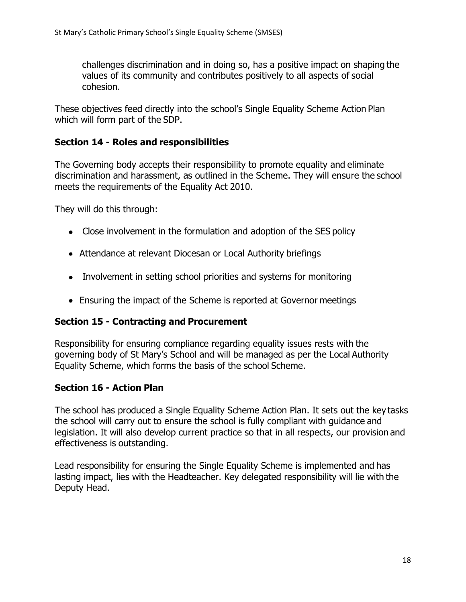challenges discrimination and in doing so, has a positive impact on shaping the values of its community and contributes positively to all aspects of social cohesion.

These objectives feed directly into the school's Single Equality Scheme Action Plan which will form part of the SDP.

#### **Section 14 - Roles and responsibilities**

The Governing body accepts their responsibility to promote equality and eliminate discrimination and harassment, as outlined in the Scheme. They will ensure the school meets the requirements of the Equality Act 2010.

They will do this through:

- Close involvement in the formulation and adoption of the SES policy
- Attendance at relevant Diocesan or Local Authority briefings
- Involvement in setting school priorities and systems for monitoring
- Ensuring the impact of the Scheme is reported at Governor meetings

## **Section 15 - Contracting and Procurement**

Responsibility for ensuring compliance regarding equality issues rests with the governing body of St Mary's School and will be managed as per the Local Authority Equality Scheme, which forms the basis of the school Scheme.

## **Section 16 - Action Plan**

The school has produced a Single Equality Scheme Action Plan. It sets out the key tasks the school will carry out to ensure the school is fully compliant with guidance and legislation. It will also develop current practice so that in all respects, our provision and effectiveness is outstanding.

Lead responsibility for ensuring the Single Equality Scheme is implemented and has lasting impact, lies with the Headteacher. Key delegated responsibility will lie with the Deputy Head.